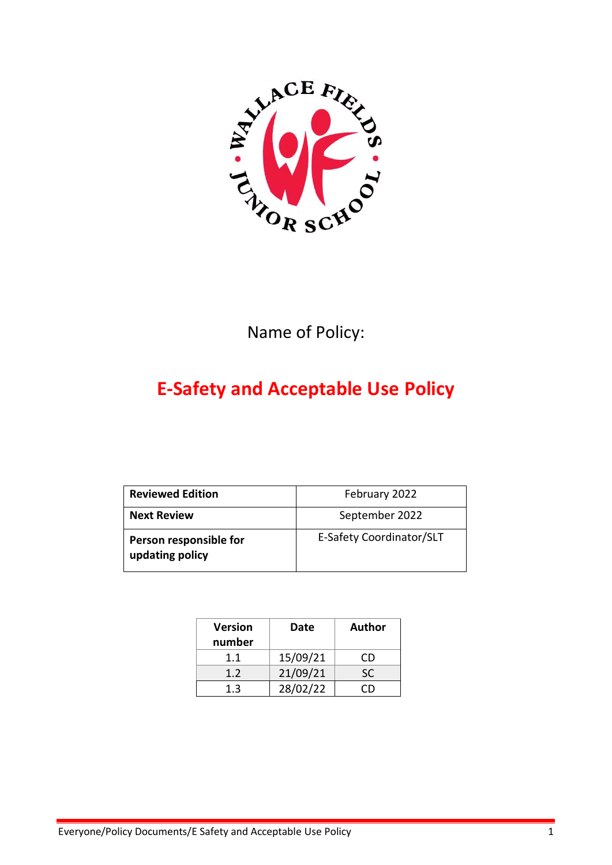

Name of Policy:

# **E-Safety and Acceptable Use Policy**

| <b>Reviewed Edition</b>                   | February 2022            |
|-------------------------------------------|--------------------------|
| <b>Next Review</b>                        | September 2022           |
| Person responsible for<br>updating policy | E-Safety Coordinator/SLT |

| <b>Version</b><br>number | Date     | <b>Author</b> |
|--------------------------|----------|---------------|
| 11                       | 15/09/21 | CD            |
| 1.2                      | 21/09/21 | <b>SC</b>     |
|                          | 28/02/22 |               |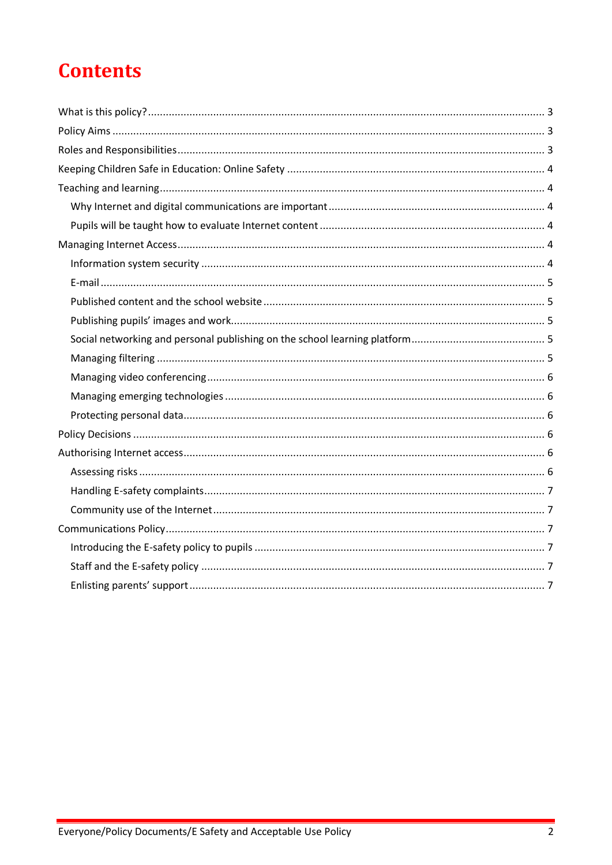# **Contents**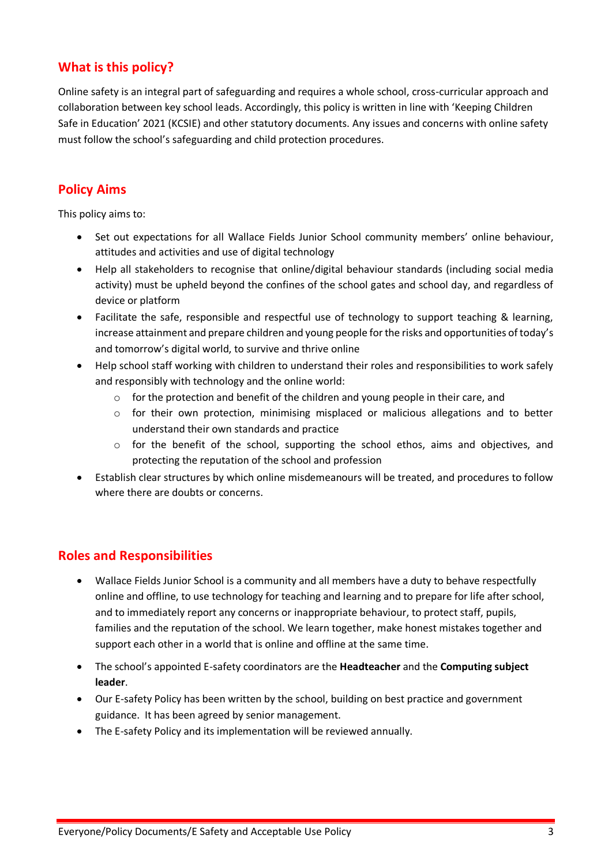# <span id="page-2-0"></span>**What is this policy?**

Online safety is an integral part of safeguarding and requires a whole school, cross-curricular approach and collaboration between key school leads. Accordingly, this policy is written in line with 'Keeping Children Safe in Education' 2021 (KCSIE) and other statutory documents. Any issues and concerns with online safety must follow the school's safeguarding and child protection procedures.

# <span id="page-2-1"></span>**Policy Aims**

This policy aims to:

- Set out expectations for all Wallace Fields Junior School community members' online behaviour, attitudes and activities and use of digital technology
- Help all stakeholders to recognise that online/digital behaviour standards (including social media activity) must be upheld beyond the confines of the school gates and school day, and regardless of device or platform
- Facilitate the safe, responsible and respectful use of technology to support teaching & learning, increase attainment and prepare children and young people for the risks and opportunities of today's and tomorrow's digital world, to survive and thrive online
- Help school staff working with children to understand their roles and responsibilities to work safely and responsibly with technology and the online world:
	- $\circ$  for the protection and benefit of the children and young people in their care, and
	- o for their own protection, minimising misplaced or malicious allegations and to better understand their own standards and practice
	- o for the benefit of the school, supporting the school ethos, aims and objectives, and protecting the reputation of the school and profession
- Establish clear structures by which online misdemeanours will be treated, and procedures to follow where there are doubts or concerns.

# <span id="page-2-2"></span>**Roles and Responsibilities**

- Wallace Fields Junior School is a community and all members have a duty to behave respectfully online and offline, to use technology for teaching and learning and to prepare for life after school, and to immediately report any concerns or inappropriate behaviour, to protect staff, pupils, families and the reputation of the school. We learn together, make honest mistakes together and support each other in a world that is online and offline at the same time.
- The school's appointed E-safety coordinators are the **Headteacher** and the **Computing subject leader**.
- Our E-safety Policy has been written by the school, building on best practice and government guidance. It has been agreed by senior management.
- The E-safety Policy and its implementation will be reviewed annually.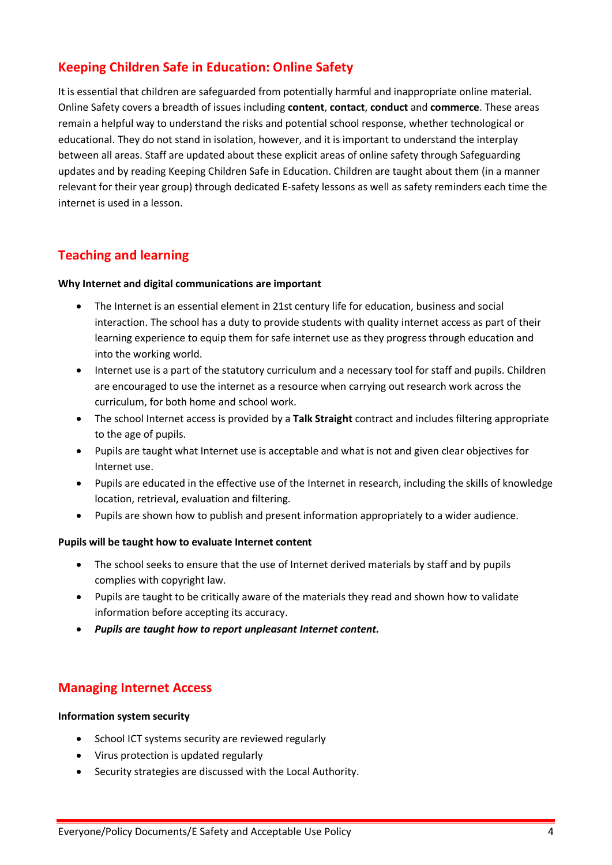# <span id="page-3-0"></span>**Keeping Children Safe in Education: Online Safety**

It is essential that children are safeguarded from potentially harmful and inappropriate online material. Online Safety covers a breadth of issues including **content**, **contact**, **conduct** and **commerce**. These areas remain a helpful way to understand the risks and potential school response, whether technological or educational. They do not stand in isolation, however, and it is important to understand the interplay between all areas. Staff are updated about these explicit areas of online safety through Safeguarding updates and by reading Keeping Children Safe in Education. Children are taught about them (in a manner relevant for their year group) through dedicated E-safety lessons as well as safety reminders each time the internet is used in a lesson.

# <span id="page-3-1"></span>**Teaching and learning**

#### <span id="page-3-2"></span>**Why Internet and digital communications are important**

- The Internet is an essential element in 21st century life for education, business and social interaction. The school has a duty to provide students with quality internet access as part of their learning experience to equip them for safe internet use as they progress through education and into the working world.
- Internet use is a part of the statutory curriculum and a necessary tool for staff and pupils. Children are encouraged to use the internet as a resource when carrying out research work across the curriculum, for both home and school work.
- The school Internet access is provided by a **Talk Straight** contract and includes filtering appropriate to the age of pupils.
- Pupils are taught what Internet use is acceptable and what is not and given clear objectives for Internet use.
- Pupils are educated in the effective use of the Internet in research, including the skills of knowledge location, retrieval, evaluation and filtering.
- Pupils are shown how to publish and present information appropriately to a wider audience.

#### <span id="page-3-3"></span>**Pupils will be taught how to evaluate Internet content**

- The school seeks to ensure that the use of Internet derived materials by staff and by pupils complies with copyright law.
- Pupils are taught to be critically aware of the materials they read and shown how to validate information before accepting its accuracy.
- *Pupils are taught how to report unpleasant Internet content.*

# <span id="page-3-4"></span>**Managing Internet Access**

#### <span id="page-3-5"></span>**Information system security**

- School ICT systems security are reviewed regularly
- Virus protection is updated regularly
- Security strategies are discussed with the Local Authority.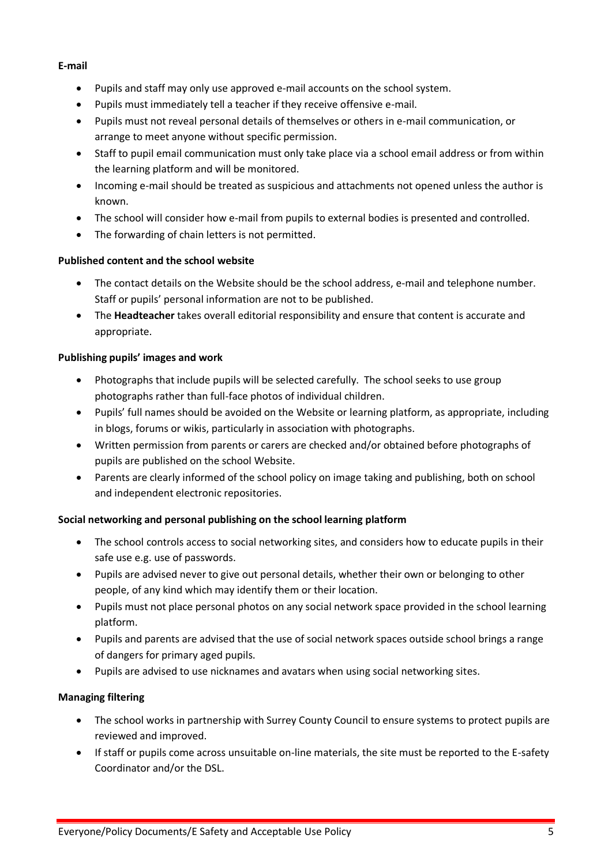## <span id="page-4-0"></span>**E-mail**

- Pupils and staff may only use approved e-mail accounts on the school system.
- Pupils must immediately tell a teacher if they receive offensive e-mail.
- Pupils must not reveal personal details of themselves or others in e-mail communication, or arrange to meet anyone without specific permission.
- Staff to pupil email communication must only take place via a school email address or from within the learning platform and will be monitored.
- Incoming e-mail should be treated as suspicious and attachments not opened unless the author is known.
- The school will consider how e-mail from pupils to external bodies is presented and controlled.
- The forwarding of chain letters is not permitted.

## <span id="page-4-1"></span>**Published content and the school website**

- The contact details on the Website should be the school address, e-mail and telephone number. Staff or pupils' personal information are not to be published.
- The **Headteacher** takes overall editorial responsibility and ensure that content is accurate and appropriate.

# <span id="page-4-2"></span>**Publishing pupils' images and work**

- Photographs that include pupils will be selected carefully. The school seeks to use group photographs rather than full-face photos of individual children.
- Pupils' full names should be avoided on the Website or learning platform, as appropriate, including in blogs, forums or wikis, particularly in association with photographs.
- Written permission from parents or carers are checked and/or obtained before photographs of pupils are published on the school Website.
- Parents are clearly informed of the school policy on image taking and publishing, both on school and independent electronic repositories.

## <span id="page-4-3"></span>**Social networking and personal publishing on the school learning platform**

- The school controls access to social networking sites, and considers how to educate pupils in their safe use e.g. use of passwords.
- Pupils are advised never to give out personal details, whether their own or belonging to other people, of any kind which may identify them or their location.
- Pupils must not place personal photos on any social network space provided in the school learning platform.
- Pupils and parents are advised that the use of social network spaces outside school brings a range of dangers for primary aged pupils.
- Pupils are advised to use nicknames and avatars when using social networking sites.

# <span id="page-4-4"></span>**Managing filtering**

- The school works in partnership with Surrey County Council to ensure systems to protect pupils are reviewed and improved.
- If staff or pupils come across unsuitable on-line materials, the site must be reported to the E-safety Coordinator and/or the DSL.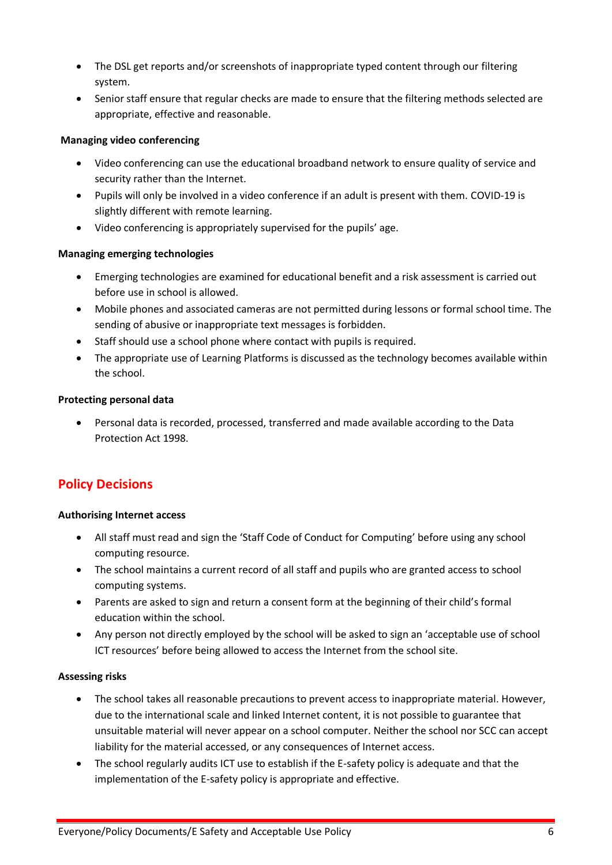- The DSL get reports and/or screenshots of inappropriate typed content through our filtering system.
- Senior staff ensure that regular checks are made to ensure that the filtering methods selected are appropriate, effective and reasonable.

## <span id="page-5-0"></span>**Managing video conferencing**

- Video conferencing can use the educational broadband network to ensure quality of service and security rather than the Internet.
- Pupils will only be involved in a video conference if an adult is present with them. COVID-19 is slightly different with remote learning.
- Video conferencing is appropriately supervised for the pupils' age.

# <span id="page-5-1"></span>**Managing emerging technologies**

- Emerging technologies are examined for educational benefit and a risk assessment is carried out before use in school is allowed.
- Mobile phones and associated cameras are not permitted during lessons or formal school time. The sending of abusive or inappropriate text messages is forbidden.
- Staff should use a school phone where contact with pupils is required.
- The appropriate use of Learning Platforms is discussed as the technology becomes available within the school.

# <span id="page-5-2"></span>**Protecting personal data**

• Personal data is recorded, processed, transferred and made available according to the Data Protection Act 1998.

# <span id="page-5-3"></span>**Policy Decisions**

## <span id="page-5-4"></span>**Authorising Internet access**

- All staff must read and sign the 'Staff Code of Conduct for Computing' before using any school computing resource.
- The school maintains a current record of all staff and pupils who are granted access to school computing systems.
- Parents are asked to sign and return a consent form at the beginning of their child's formal education within the school.
- Any person not directly employed by the school will be asked to sign an 'acceptable use of school ICT resources' before being allowed to access the Internet from the school site.

## <span id="page-5-5"></span>**Assessing risks**

- The school takes all reasonable precautions to prevent access to inappropriate material. However, due to the international scale and linked Internet content, it is not possible to guarantee that unsuitable material will never appear on a school computer. Neither the school nor SCC can accept liability for the material accessed, or any consequences of Internet access.
- The school regularly audits ICT use to establish if the E-safety policy is adequate and that the implementation of the E-safety policy is appropriate and effective.